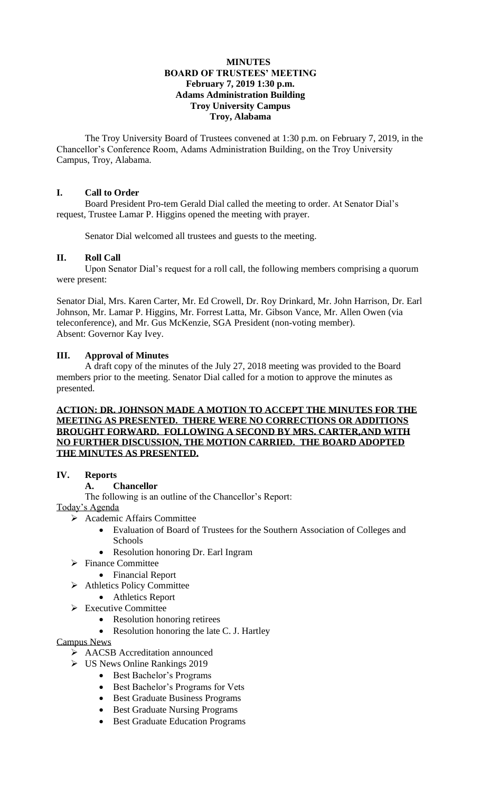### **MINUTES BOARD OF TRUSTEES' MEETING February 7, 2019 1:30 p.m. Adams Administration Building Troy University Campus Troy, Alabama**

The Troy University Board of Trustees convened at 1:30 p.m. on February 7, 2019, in the Chancellor's Conference Room, Adams Administration Building, on the Troy University Campus, Troy, Alabama.

# **I. Call to Order**

Board President Pro-tem Gerald Dial called the meeting to order. At Senator Dial's request, Trustee Lamar P. Higgins opened the meeting with prayer.

Senator Dial welcomed all trustees and guests to the meeting.

# **II. Roll Call**

Upon Senator Dial's request for a roll call, the following members comprising a quorum were present:

Senator Dial, Mrs. Karen Carter, Mr. Ed Crowell, Dr. Roy Drinkard, Mr. John Harrison, Dr. Earl Johnson, Mr. Lamar P. Higgins, Mr. Forrest Latta, Mr. Gibson Vance, Mr. Allen Owen (via teleconference), and Mr. Gus McKenzie, SGA President (non-voting member). Absent: Governor Kay Ivey.

# **III. Approval of Minutes**

A draft copy of the minutes of the July 27, 2018 meeting was provided to the Board members prior to the meeting. Senator Dial called for a motion to approve the minutes as presented.

# **ACTION: DR. JOHNSON MADE A MOTION TO ACCEPT THE MINUTES FOR THE MEETING AS PRESENTED. THERE WERE NO CORRECTIONS OR ADDITIONS BROUGHT FORWARD. FOLLOWING A SECOND BY MRS. CARTER,AND WITH NO FURTHER DISCUSSION, THE MOTION CARRIED. THE BOARD ADOPTED THE MINUTES AS PRESENTED.**

# **IV. Reports**

# **A. Chancellor**

The following is an outline of the Chancellor's Report:

Today's Agenda

- ➢ Academic Affairs Committee
	- Evaluation of Board of Trustees for the Southern Association of Colleges and Schools
	- Resolution honoring Dr. Earl Ingram
- ➢ Finance Committee
	- Financial Report
- ➢ Athletics Policy Committee
	- Athletics Report
- ➢ Executive Committee
	- Resolution honoring retirees
	- Resolution honoring the late C. J. Hartley

Campus News

- ➢ AACSB Accreditation announced
- ➢ US News Online Rankings 2019
	- Best Bachelor's Programs
	- Best Bachelor's Programs for Vets
	- Best Graduate Business Programs
	- Best Graduate Nursing Programs
	- Best Graduate Education Programs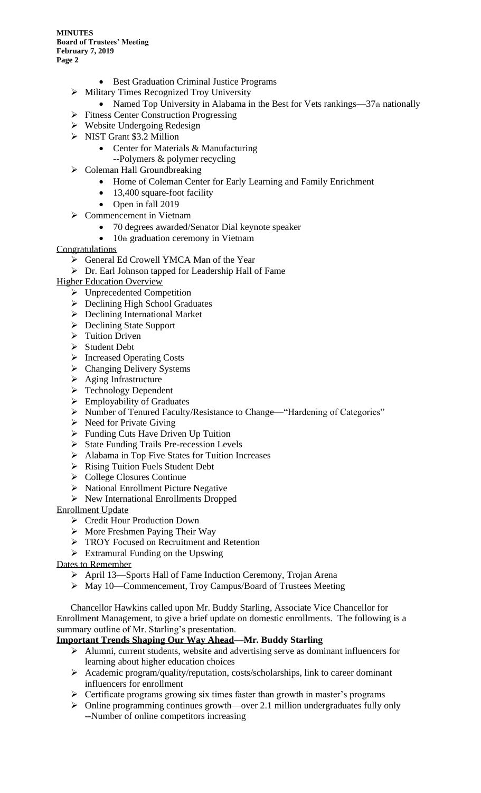- Best Graduation Criminal Justice Programs
- ➢ Military Times Recognized Troy University
	- Named Top University in Alabama in the Best for Vets rankings—37th nationally
- ➢ Fitness Center Construction Progressing
- ➢ Website Undergoing Redesign
- ➢ NIST Grant \$3.2 Million
	- Center for Materials & Manufacturing
	- --Polymers & polymer recycling
- ➢ Coleman Hall Groundbreaking
	- Home of Coleman Center for Early Learning and Family Enrichment
	- 13,400 square-foot facility
	- Open in fall 2019
- ➢ Commencement in Vietnam
	- 70 degrees awarded/Senator Dial keynote speaker
	- 10th graduation ceremony in Vietnam

# **Congratulations**

- ➢ General Ed Crowell YMCA Man of the Year
- ➢ Dr. Earl Johnson tapped for Leadership Hall of Fame

Higher Education Overview

- ➢ Unprecedented Competition
- ➢ Declining High School Graduates
- ➢ Declining International Market
- ➢ Declining State Support
- ➢ Tuition Driven
- ➢ Student Debt
- ➢ Increased Operating Costs
- ➢ Changing Delivery Systems
- ➢ Aging Infrastructure
- ➢ Technology Dependent
- ➢ Employability of Graduates
- ➢ Number of Tenured Faculty/Resistance to Change—"Hardening of Categories"
- $\triangleright$  Need for Private Giving
- ➢ Funding Cuts Have Driven Up Tuition
- ➢ State Funding Trails Pre-recession Levels
- ➢ Alabama in Top Five States for Tuition Increases
- ➢ Rising Tuition Fuels Student Debt
- ➢ College Closures Continue
- ➢ National Enrollment Picture Negative
- ➢ New International Enrollments Dropped

Enrollment Update

- ➢ Credit Hour Production Down
- ➢ More Freshmen Paying Their Way
- ➢ TROY Focused on Recruitment and Retention
- ➢ Extramural Funding on the Upswing

Dates to Remember

- ➢ April 13—Sports Hall of Fame Induction Ceremony, Trojan Arena
- ➢ May 10—Commencement, Troy Campus/Board of Trustees Meeting

Chancellor Hawkins called upon Mr. Buddy Starling, Associate Vice Chancellor for Enrollment Management, to give a brief update on domestic enrollments. The following is a summary outline of Mr. Starling's presentation.

# **Important Trends Shaping Our Way Ahead—Mr. Buddy Starling**

- ➢ Alumni, current students, website and advertising serve as dominant influencers for learning about higher education choices
- ➢ Academic program/quality/reputation, costs/scholarships, link to career dominant influencers for enrollment
- ➢ Certificate programs growing six times faster than growth in master's programs
- $\triangleright$  Online programming continues growth—over 2.1 million undergraduates fully only --Number of online competitors increasing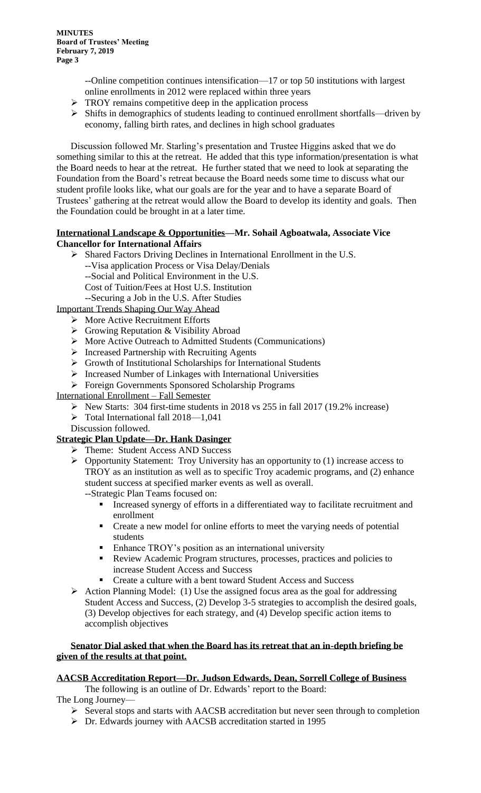> --Online competition continues intensification—17 or top 50 institutions with largest online enrollments in 2012 were replaced within three years

- ➢ TROY remains competitive deep in the application process
- ➢ Shifts in demographics of students leading to continued enrollment shortfalls—driven by economy, falling birth rates, and declines in high school graduates

Discussion followed Mr. Starling's presentation and Trustee Higgins asked that we do something similar to this at the retreat. He added that this type information/presentation is what the Board needs to hear at the retreat. He further stated that we need to look at separating the Foundation from the Board's retreat because the Board needs some time to discuss what our student profile looks like, what our goals are for the year and to have a separate Board of Trustees' gathering at the retreat would allow the Board to develop its identity and goals. Then the Foundation could be brought in at a later time.

### **International Landscape & Opportunities—Mr. Sohail Agboatwala, Associate Vice Chancellor for International Affairs**

- ➢ Shared Factors Driving Declines in International Enrollment in the U.S.
	- --Visa application Process or Visa Delay/Denials
	- --Social and Political Environment in the U.S.
	- Cost of Tuition/Fees at Host U.S. Institution

--Securing a Job in the U.S. After Studies

Important Trends Shaping Our Way Ahead

- ➢ More Active Recruitment Efforts
- ➢ Growing Reputation & Visibility Abroad
- ➢ More Active Outreach to Admitted Students (Communications)
- ➢ Increased Partnership with Recruiting Agents
- ➢ Growth of Institutional Scholarships for International Students
- ➢ Increased Number of Linkages with International Universities
- ➢ Foreign Governments Sponsored Scholarship Programs

# International Enrollment – Fall Semester

- ➢ New Starts: 304 first-time students in 2018 vs 255 in fall 2017 (19.2% increase)
- ➢ Total International fall 2018—1,041
- Discussion followed.

# **Strategic Plan Update—Dr. Hank Dasinger**

- ➢ Theme: Student Access AND Success
- ➢ Opportunity Statement: Troy University has an opportunity to (1) increase access to TROY as an institution as well as to specific Troy academic programs, and (2) enhance student success at specified marker events as well as overall. --Strategic Plan Teams focused on:
	- **Increased synergy of efforts in a differentiated way to facilitate recruitment and**
	- enrollment ■ Create a new model for online efforts to meet the varying needs of potential students
	- **•** Enhance TROY's position as an international university
	- Review Academic Program structures, processes, practices and policies to increase Student Access and Success
	- Create a culture with a bent toward Student Access and Success
- $\triangleright$  Action Planning Model: (1) Use the assigned focus area as the goal for addressing Student Access and Success, (2) Develop 3-5 strategies to accomplish the desired goals, (3) Develop objectives for each strategy, and (4) Develop specific action items to accomplish objectives

# **Senator Dial asked that when the Board has its retreat that an in-depth briefing be given of the results at that point.**

# **AACSB Accreditation Report—Dr. Judson Edwards, Dean, Sorrell College of Business**

The following is an outline of Dr. Edwards' report to the Board:

The Long Journey—

- ➢ Several stops and starts with AACSB accreditation but never seen through to completion
- ➢ Dr. Edwards journey with AACSB accreditation started in 1995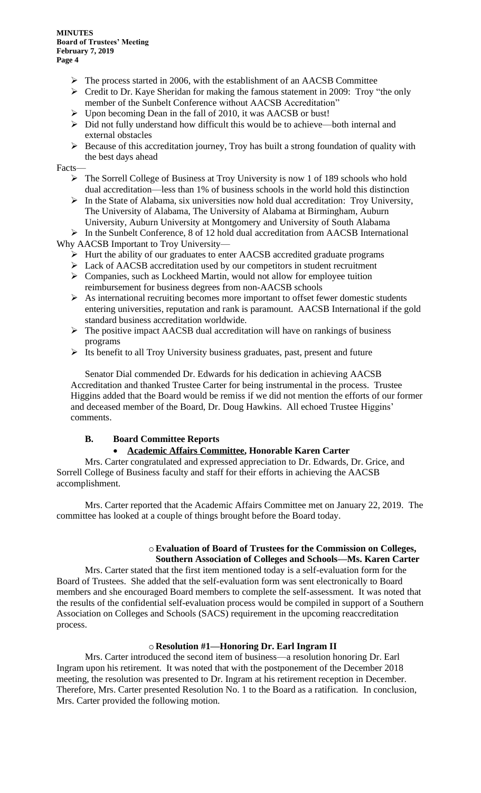- ➢ The process started in 2006, with the establishment of an AACSB Committee
- ➢ Credit to Dr. Kaye Sheridan for making the famous statement in 2009: Troy "the only member of the Sunbelt Conference without AACSB Accreditation"
- ➢ Upon becoming Dean in the fall of 2010, it was AACSB or bust!
- ➢ Did not fully understand how difficult this would be to achieve—both internal and external obstacles
- ➢ Because of this accreditation journey, Troy has built a strong foundation of quality with the best days ahead

Facts—

- ➢ The Sorrell College of Business at Troy University is now 1 of 189 schools who hold dual accreditation—less than 1% of business schools in the world hold this distinction
- ➢ In the State of Alabama, six universities now hold dual accreditation: Troy University, The University of Alabama, The University of Alabama at Birmingham, Auburn University, Auburn University at Montgomery and University of South Alabama

➢ In the Sunbelt Conference, 8 of 12 hold dual accreditation from AACSB International Why AACSB Important to Troy University—

- ➢ Hurt the ability of our graduates to enter AACSB accredited graduate programs
- ➢ Lack of AACSB accreditation used by our competitors in student recruitment
- ➢ Companies, such as Lockheed Martin, would not allow for employee tuition reimbursement for business degrees from non-AACSB schools
- $\triangleright$  As international recruiting becomes more important to offset fewer domestic students entering universities, reputation and rank is paramount. AACSB International if the gold standard business accreditation worldwide.
- $\triangleright$  The positive impact AACSB dual accreditation will have on rankings of business programs
- ➢ Its benefit to all Troy University business graduates, past, present and future

Senator Dial commended Dr. Edwards for his dedication in achieving AACSB Accreditation and thanked Trustee Carter for being instrumental in the process. Trustee Higgins added that the Board would be remiss if we did not mention the efforts of our former and deceased member of the Board, Dr. Doug Hawkins. All echoed Trustee Higgins' comments.

# **B. Board Committee Reports**

# • **Academic Affairs Committee, Honorable Karen Carter**

Mrs. Carter congratulated and expressed appreciation to Dr. Edwards, Dr. Grice, and Sorrell College of Business faculty and staff for their efforts in achieving the AACSB accomplishment.

Mrs. Carter reported that the Academic Affairs Committee met on January 22, 2019. The committee has looked at a couple of things brought before the Board today.

#### o**Evaluation of Board of Trustees for the Commission on Colleges, Southern Association of Colleges and Schools—Ms. Karen Carter**

Mrs. Carter stated that the first item mentioned today is a self-evaluation form for the Board of Trustees. She added that the self-evaluation form was sent electronically to Board members and she encouraged Board members to complete the self-assessment. It was noted that the results of the confidential self-evaluation process would be compiled in support of a Southern Association on Colleges and Schools (SACS) requirement in the upcoming reaccreditation process.

# o **Resolution #1—Honoring Dr. Earl Ingram II**

Mrs. Carter introduced the second item of business—a resolution honoring Dr. Earl Ingram upon his retirement. It was noted that with the postponement of the December 2018 meeting, the resolution was presented to Dr. Ingram at his retirement reception in December. Therefore, Mrs. Carter presented Resolution No. 1 to the Board as a ratification. In conclusion, Mrs. Carter provided the following motion.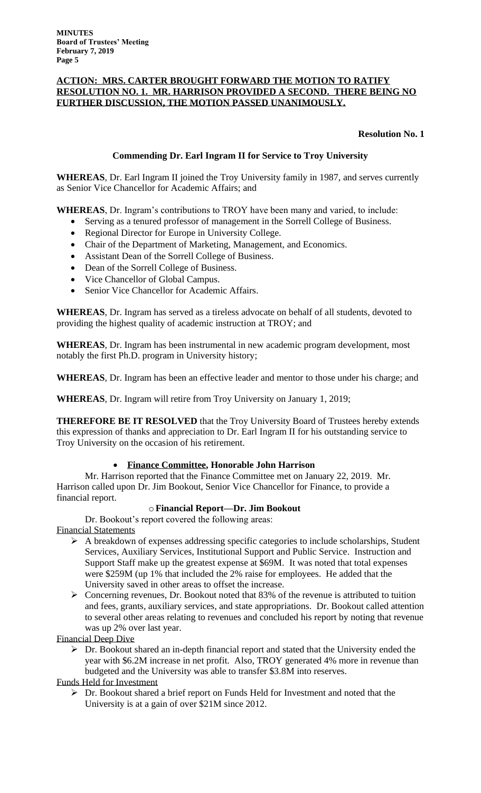### **ACTION: MRS. CARTER BROUGHT FORWARD THE MOTION TO RATIFY RESOLUTION NO. 1. MR. HARRISON PROVIDED A SECOND. THERE BEING NO FURTHER DISCUSSION, THE MOTION PASSED UNANIMOUSLY.**

# **Resolution No. 1**

# **Commending Dr. Earl Ingram II for Service to Troy University**

**WHEREAS**, Dr. Earl Ingram II joined the Troy University family in 1987, and serves currently as Senior Vice Chancellor for Academic Affairs; and

**WHEREAS**, Dr. Ingram's contributions to TROY have been many and varied, to include:

- Serving as a tenured professor of management in the Sorrell College of Business.
- Regional Director for Europe in University College.
- Chair of the Department of Marketing, Management, and Economics.
- Assistant Dean of the Sorrell College of Business.
- Dean of the Sorrell College of Business.
- Vice Chancellor of Global Campus.
- Senior Vice Chancellor for Academic Affairs.

**WHEREAS**, Dr. Ingram has served as a tireless advocate on behalf of all students, devoted to providing the highest quality of academic instruction at TROY; and

**WHEREAS**, Dr. Ingram has been instrumental in new academic program development, most notably the first Ph.D. program in University history;

**WHEREAS**, Dr. Ingram has been an effective leader and mentor to those under his charge; and

**WHEREAS**, Dr. Ingram will retire from Troy University on January 1, 2019;

**THEREFORE BE IT RESOLVED** that the Troy University Board of Trustees hereby extends this expression of thanks and appreciation to Dr. Earl Ingram II for his outstanding service to Troy University on the occasion of his retirement.

# • **Finance Committee, Honorable John Harrison**

Mr. Harrison reported that the Finance Committee met on January 22, 2019. Mr. Harrison called upon Dr. Jim Bookout, Senior Vice Chancellor for Finance, to provide a financial report.

# o**Financial Report—Dr. Jim Bookout**

Dr. Bookout's report covered the following areas: Financial Statements

- ➢ A breakdown of expenses addressing specific categories to include scholarships, Student Services, Auxiliary Services, Institutional Support and Public Service. Instruction and Support Staff make up the greatest expense at \$69M. It was noted that total expenses were \$259M (up 1% that included the 2% raise for employees. He added that the University saved in other areas to offset the increase.
- ➢ Concerning revenues, Dr. Bookout noted that 83% of the revenue is attributed to tuition and fees, grants, auxiliary services, and state appropriations. Dr. Bookout called attention to several other areas relating to revenues and concluded his report by noting that revenue was up 2% over last year.

Financial Deep Dive

➢ Dr. Bookout shared an in-depth financial report and stated that the University ended the year with \$6.2M increase in net profit. Also, TROY generated 4% more in revenue than budgeted and the University was able to transfer \$3.8M into reserves.

### Funds Held for Investment

➢ Dr. Bookout shared a brief report on Funds Held for Investment and noted that the University is at a gain of over \$21M since 2012.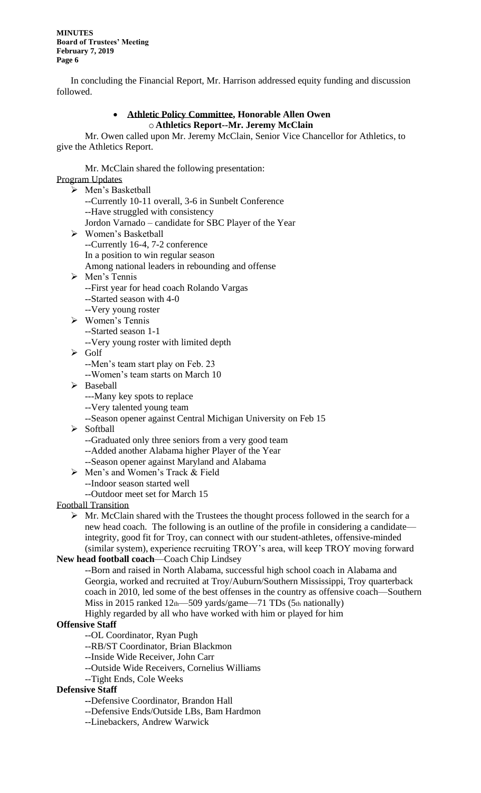In concluding the Financial Report, Mr. Harrison addressed equity funding and discussion followed.

# • **Athletic Policy Committee, Honorable Allen Owen** o **Athletics Report--Mr. Jeremy McClain**

Mr. Owen called upon Mr. Jeremy McClain, Senior Vice Chancellor for Athletics, to give the Athletics Report.

Mr. McClain shared the following presentation: Program Updates

➢ Men's Basketball --Currently 10-11 overall, 3-6 in Sunbelt Conference --Have struggled with consistency Jordon Varnado – candidate for SBC Player of the Year ➢ Women's Basketball --Currently 16-4, 7-2 conference In a position to win regular season Among national leaders in rebounding and offense ➢ Men's Tennis --First year for head coach Rolando Vargas --Started season with 4-0 --Very young roster ➢ Women's Tennis --Started season 1-1 --Very young roster with limited depth ➢ Golf --Men's team start play on Feb. 23 --Women's team starts on March 10 ➢ Baseball ---Many key spots to replace --Very talented young team --Season opener against Central Michigan University on Feb 15 ➢ Softball --Graduated only three seniors from a very good team --Added another Alabama higher Player of the Year --Season opener against Maryland and Alabama ➢ Men's and Women's Track & Field --Indoor season started well --Outdoor meet set for March 15 Football Transition  $\triangleright$  Mr. McClain shared with the Trustees the thought process followed in the search for a new head coach. The following is an outline of the profile in considering a candidate integrity, good fit for Troy, can connect with our student-athletes, offensive-minded (similar system), experience recruiting TROY's area, will keep TROY moving forward **New head football coach**—Coach Chip Lindsey --Born and raised in North Alabama, successful high school coach in Alabama and Georgia, worked and recruited at Troy/Auburn/Southern Mississippi, Troy quarterback coach in 2010, led some of the best offenses in the country as offensive coach—Southern

Miss in 2015 ranked 12th-509 yards/game-71 TDs (5th nationally)

Highly regarded by all who have worked with him or played for him

# **Offensive Staff**

--OL Coordinator, Ryan Pugh

- --RB/ST Coordinator, Brian Blackmon
- --Inside Wide Receiver, John Carr
- --Outside Wide Receivers, Cornelius Williams
- --Tight Ends, Cole Weeks

# **Defensive Staff**

- **--**Defensive Coordinator, Brandon Hall
- --Defensive Ends/Outside LBs, Bam Hardmon
- --Linebackers, Andrew Warwick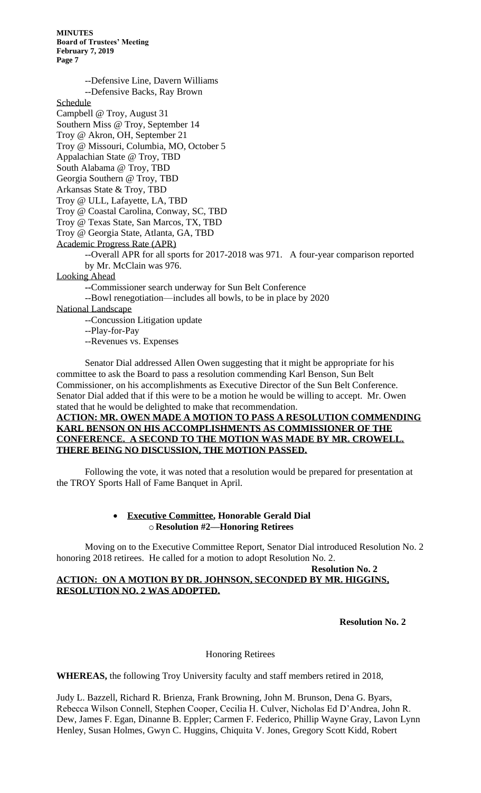--Defensive Line, Davern Williams

--Defensive Backs, Ray Brown

Schedule

Campbell @ Troy, August 31 Southern Miss @ Troy, September 14

Troy @ Akron, OH, September 21

Troy @ Missouri, Columbia, MO, October 5

Appalachian State @ Troy, TBD

South Alabama @ Troy, TBD

Georgia Southern @ Troy, TBD

Arkansas State & Troy, TBD

Troy @ ULL, Lafayette, LA, TBD

Troy @ Coastal Carolina, Conway, SC, TBD

Troy @ Texas State, San Marcos, TX, TBD

Troy @ Georgia State, Atlanta, GA, TBD

Academic Progress Rate (APR)

--Overall APR for all sports for 2017-2018 was 971. A four-year comparison reported by Mr. McClain was 976.

Looking Ahead

**--**Commissioner search underway for Sun Belt Conference

--Bowl renegotiation—includes all bowls, to be in place by 2020

National Landscape

--Concussion Litigation update

--Play-for-Pay

--Revenues vs. Expenses

Senator Dial addressed Allen Owen suggesting that it might be appropriate for his committee to ask the Board to pass a resolution commending Karl Benson, Sun Belt Commissioner, on his accomplishments as Executive Director of the Sun Belt Conference. Senator Dial added that if this were to be a motion he would be willing to accept. Mr. Owen stated that he would be delighted to make that recommendation.

# **ACTION: MR. OWEN MADE A MOTION TO PASS A RESOLUTION COMMENDING KARL BENSON ON HIS ACCOMPLISHMENTS AS COMMISSIONER OF THE CONFERENCE. A SECOND TO THE MOTION WAS MADE BY MR. CROWELL. THERE BEING NO DISCUSSION, THE MOTION PASSED.**

Following the vote, it was noted that a resolution would be prepared for presentation at the TROY Sports Hall of Fame Banquet in April.

#### • **Executive Committee, Honorable Gerald Dial** o **Resolution #2—Honoring Retirees**

Moving on to the Executive Committee Report, Senator Dial introduced Resolution No. 2 honoring 2018 retirees. He called for a motion to adopt Resolution No. 2.

### **Resolution No. 2 ACTION: ON A MOTION BY DR. JOHNSON, SECONDED BY MR. HIGGINS, RESOLUTION NO. 2 WAS ADOPTED.**

**Resolution No. 2**

# Honoring Retirees

**WHEREAS,** the following Troy University faculty and staff members retired in 2018,

Judy L. Bazzell, Richard R. Brienza, Frank Browning, John M. Brunson, Dena G. Byars, Rebecca Wilson Connell, Stephen Cooper, Cecilia H. Culver, Nicholas Ed D'Andrea, John R. Dew, James F. Egan, Dinanne B. Eppler; Carmen F. Federico, Phillip Wayne Gray, Lavon Lynn Henley, Susan Holmes, Gwyn C. Huggins, Chiquita V. Jones, Gregory Scott Kidd, Robert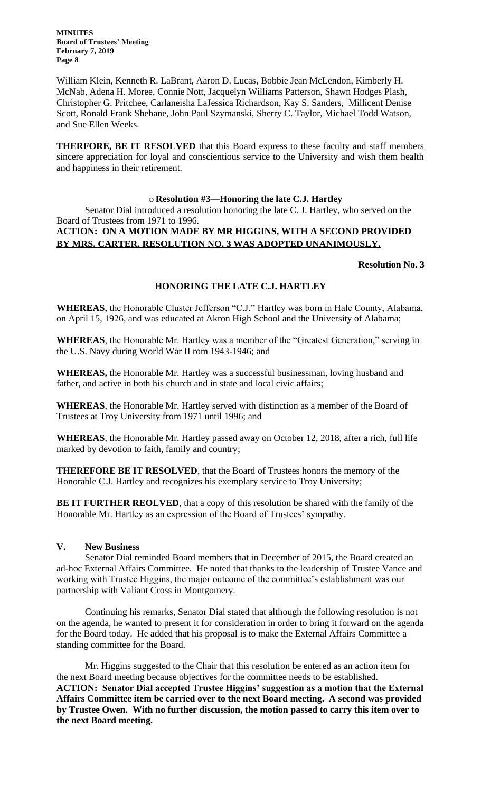William Klein, Kenneth R. LaBrant, Aaron D. Lucas, Bobbie Jean McLendon, Kimberly H. McNab, Adena H. Moree, Connie Nott, Jacquelyn Williams Patterson, Shawn Hodges Plash, Christopher G. Pritchee, Carlaneisha LaJessica Richardson, Kay S. Sanders, Millicent Denise Scott, Ronald Frank Shehane, John Paul Szymanski, Sherry C. Taylor, Michael Todd Watson, and Sue Ellen Weeks.

**THERFORE, BE IT RESOLVED** that this Board express to these faculty and staff members sincere appreciation for loyal and conscientious service to the University and wish them health and happiness in their retirement.

#### o **Resolution #3—Honoring the late C.J. Hartley**

Senator Dial introduced a resolution honoring the late C. J. Hartley, who served on the Board of Trustees from 1971 to 1996.

# **ACTION: ON A MOTION MADE BY MR HIGGINS, WITH A SECOND PROVIDED BY MRS. CARTER, RESOLUTION NO. 3 WAS ADOPTED UNANIMOUSLY.**

#### **Resolution No. 3**

#### **HONORING THE LATE C.J. HARTLEY**

**WHEREAS**, the Honorable Cluster Jefferson "C.J." Hartley was born in Hale County, Alabama, on April 15, 1926, and was educated at Akron High School and the University of Alabama;

**WHEREAS**, the Honorable Mr. Hartley was a member of the "Greatest Generation," serving in the U.S. Navy during World War II rom 1943-1946; and

**WHEREAS,** the Honorable Mr. Hartley was a successful businessman, loving husband and father, and active in both his church and in state and local civic affairs;

**WHEREAS**, the Honorable Mr. Hartley served with distinction as a member of the Board of Trustees at Troy University from 1971 until 1996; and

**WHEREAS**, the Honorable Mr. Hartley passed away on October 12, 2018, after a rich, full life marked by devotion to faith, family and country;

**THEREFORE BE IT RESOLVED**, that the Board of Trustees honors the memory of the Honorable C.J. Hartley and recognizes his exemplary service to Troy University;

BE IT FURTHER REOLVED, that a copy of this resolution be shared with the family of the Honorable Mr. Hartley as an expression of the Board of Trustees' sympathy.

#### **V. New Business**

Senator Dial reminded Board members that in December of 2015, the Board created an ad-hoc External Affairs Committee. He noted that thanks to the leadership of Trustee Vance and working with Trustee Higgins, the major outcome of the committee's establishment was our partnership with Valiant Cross in Montgomery.

Continuing his remarks, Senator Dial stated that although the following resolution is not on the agenda, he wanted to present it for consideration in order to bring it forward on the agenda for the Board today. He added that his proposal is to make the External Affairs Committee a standing committee for the Board.

Mr. Higgins suggested to the Chair that this resolution be entered as an action item for the next Board meeting because objectives for the committee needs to be established. **ACTION: Senator Dial accepted Trustee Higgins' suggestion as a motion that the External Affairs Committee item be carried over to the next Board meeting. A second was provided by Trustee Owen. With no further discussion, the motion passed to carry this item over to the next Board meeting.**